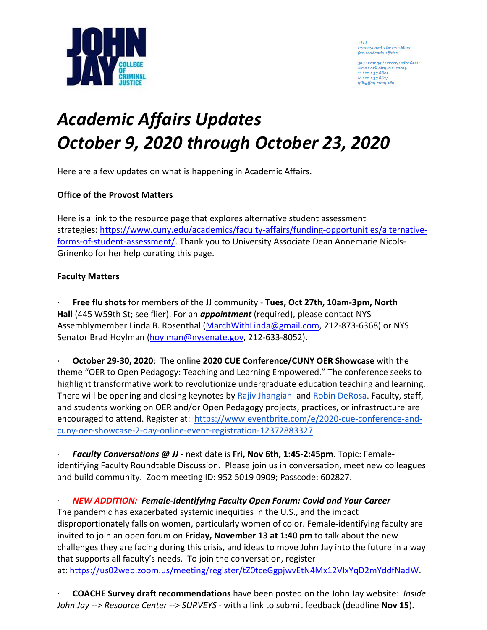

YiLi Provost and Vice President<br>for Academic Affairs

524 West 59th Street, Suite 621H New York City, NY 10019 T. 212.237.8801<br>F. 212.237.8623 yili@jjay.cumy.edu

# *Academic Affairs Updates October 9, 2020 through October 23, 2020*

Here are a few updates on what is happening in Academic Affairs.

## **Office of the Provost Matters**

Here is a link to the resource page that explores alternative student assessment strategies: [https://www.cuny.edu/academics/faculty-affairs/funding-opportunities/alternative](https://www.cuny.edu/academics/faculty-affairs/funding-opportunities/alternative-forms-of-student-assessment/)[forms-of-student-assessment/.](https://www.cuny.edu/academics/faculty-affairs/funding-opportunities/alternative-forms-of-student-assessment/) Thank you to University Associate Dean Annemarie Nicols-Grinenko for her help curating this page.

#### **Faculty Matters**

· **Free flu shots** for members of the JJ community - **Tues, Oct 27th, 10am-3pm, North Hall** (445 W59th St; see flier). For an *appointment* (required), please contact NYS Assemblymember Linda B. Rosenthal [\(MarchWithLinda@gmail.com,](mailto:MarchWithLinda@gmail.com) 212-873-6368) or NYS Senator Brad Hoylman [\(hoylman@nysenate.gov,](mailto:hoylman@nysenate.gov) 212-633-8052).

· **October 29-30, 2020**: The online **2020 CUE Conference/CUNY OER Showcase** with the theme "OER to Open Pedagogy: Teaching and Learning Empowered." The conference seeks to highlight transformative work to revolutionize undergraduate education teaching and learning. There will be opening and closing keynotes by [Rajiv](https://urldefense.proofpoint.com/v2/url?u=https-3A__thatpsychprof.com&d=DwMGaQ&c=mRWFL96tuqj9V0Jjj4h40ddo0XsmttALwKjAEOCyUjY&r=Co5kRf4KVA8XIhgrYhc2RSmO_U2ZWm0uT1iQh7WNYaY&m=ok_P5kLNrpZItv95v1qYWx3TKludqs5xNxW2lmvhnJA&s=PT0TuI4C0QlTp4rTtwiluAe2Cdub9vaZJhxr681w0X4&e=) [Jhangiani](https://urldefense.proofpoint.com/v2/url?u=https-3A__thatpsychprof.com&d=DwMGaQ&c=mRWFL96tuqj9V0Jjj4h40ddo0XsmttALwKjAEOCyUjY&r=Co5kRf4KVA8XIhgrYhc2RSmO_U2ZWm0uT1iQh7WNYaY&m=ok_P5kLNrpZItv95v1qYWx3TKludqs5xNxW2lmvhnJA&s=PT0TuI4C0QlTp4rTtwiluAe2Cdub9vaZJhxr681w0X4&e=) and [Robin DeRosa.](https://urldefense.proofpoint.com/v2/url?u=http-3A__robinderosa.net&d=DwMGaQ&c=mRWFL96tuqj9V0Jjj4h40ddo0XsmttALwKjAEOCyUjY&r=Co5kRf4KVA8XIhgrYhc2RSmO_U2ZWm0uT1iQh7WNYaY&m=ok_P5kLNrpZItv95v1qYWx3TKludqs5xNxW2lmvhnJA&s=3r408yW5rpG75nIdy1VmCL_9AEVj54l25NbTqKGySHk&e=) Faculty, staff, and students working on OER and/or Open Pedagogy projects, practices, or infrastructure are encouraged to attend. Register at: [https://www.eventbrite.com/e/2020-cue-conference-and](https://urldefense.proofpoint.com/v2/url?u=https-3A__www.eventbrite.com_e_2020-2Dcue-2Dconference-2Dand-2Dcuny-2Doer-2Dshowcase-2D2-2Dday-2Donline-2Devent-2Dregistration-2D123728833271&d=DwMFAw&c=mRWFL96tuqj9V0Jjj4h40ddo0XsmttALwKjAEOCyUjY&r=iialsxnuY8uBY8ESUPjXaWURtOyXCET5r7ol-nEqfJs&m=Ajae0aFnZMBg92RfZu_3Q7nYXsr7Hlx9OZn9NZUIr9I&s=iqAwgblnlAzstVOfhmLGAbj-U-AY0JgaaSpcKg8YYDc&e=)[cuny-oer-showcase-2-day-online-event-registration-12372883327](https://urldefense.proofpoint.com/v2/url?u=https-3A__www.eventbrite.com_e_2020-2Dcue-2Dconference-2Dand-2Dcuny-2Doer-2Dshowcase-2D2-2Dday-2Donline-2Devent-2Dregistration-2D123728833271&d=DwMFAw&c=mRWFL96tuqj9V0Jjj4h40ddo0XsmttALwKjAEOCyUjY&r=iialsxnuY8uBY8ESUPjXaWURtOyXCET5r7ol-nEqfJs&m=Ajae0aFnZMBg92RfZu_3Q7nYXsr7Hlx9OZn9NZUIr9I&s=iqAwgblnlAzstVOfhmLGAbj-U-AY0JgaaSpcKg8YYDc&e=)

· *Faculty Conversations @ JJ* - next date is **Fri, Nov 6th, 1:45-2:45pm**. Topic: Femaleidentifying Faculty Roundtable Discussion. Please join us in conversation, meet new colleagues and build community. Zoom meeting ID: 952 5019 0909; Passcode: 602827.

· *NEW ADDITION: Female-Identifying Faculty Open Forum: Covid and Your Career* The pandemic has exacerbated systemic inequities in the U.S., and the impact disproportionately falls on women, particularly women of color. Female-identifying faculty are invited to join an open forum on **Friday, November 13 at 1:40 pm** to talk about the new challenges they are facing during this crisis, and ideas to move John Jay into the future in a way that supports all faculty's needs. To join the conversation, register at: [https://us02web.zoom.us/meeting/register/tZ0tceGgpjwvEtN4Mx12VIxYqD2mYddfNadW.](https://us02web.zoom.us/meeting/register/tZ0tceGgpjwvEtN4Mx12VIxYqD2mYddfNadW)

· **COACHE Survey draft recommendations** have been posted on the John Jay website: *Inside John Jay* --> *Resource Center* --> *SURVEYS* - with a link to submit feedback (deadline **Nov 15**).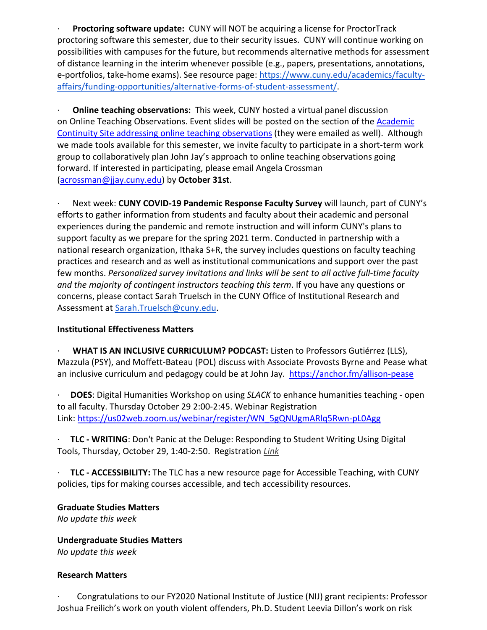· **Proctoring software update:** CUNY will NOT be acquiring a license for ProctorTrack proctoring software this semester, due to their security issues. CUNY will continue working on possibilities with campuses for the future, but recommends alternative methods for assessment of distance learning in the interim whenever possible (e.g., papers, presentations, annotations, e-portfolios, take-home exams). See resource page: [https://www.cuny.edu/academics/faculty](https://www.cuny.edu/academics/faculty-affairs/funding-opportunities/alternative-forms-of-student-assessment/)[affairs/funding-opportunities/alternative-forms-of-student-assessment/.](https://www.cuny.edu/academics/faculty-affairs/funding-opportunities/alternative-forms-of-student-assessment/)

· **Online teaching observations:** This week, CUNY hosted a virtual panel discussion on Online Teaching Observations. Event slides will be posted on the section of the **Academic** Continuity Site addressing online teaching observations (they were emailed as well). Although we made tools available for this semester, we invite faculty to participate in a short-term work group to collaboratively plan John Jay's approach to online teaching observations going forward. If interested in participating, please email Angela Crossman [\(acrossman@jjay.cuny.edu\)](mailto:acrossman@jjay.cuny.edu) by **October 31st**.

· Next week: **CUNY COVID-19 Pandemic Response Faculty Survey** will launch, part of CUNY's efforts to gather information from students and faculty about their academic and personal experiences during the pandemic and remote instruction and will inform CUNY's plans to support faculty as we prepare for the spring 2021 term. Conducted in partnership with a national research organization, Ithaka S+R, the survey includes questions on faculty teaching practices and research and as well as institutional communications and support over the past few months. *Personalized survey invitations and links will be sent to all active full-time faculty and the majority of contingent instructors teaching this term*. If you have any questions or concerns, please contact Sarah Truelsch in the CUNY Office of Institutional Research and Assessment at [Sarah.Truelsch@cuny.edu.](mailto:Sarah.Truelsch@cuny.edu)

## **Institutional Effectiveness Matters**

· **WHAT IS AN INCLUSIVE CURRICULUM? PODCAST:** Listen to Professors Gutiérrez (LLS), Mazzula (PSY), and Moffett-Bateau (POL) discuss with Associate Provosts Byrne and Pease what an inclusive curriculum and pedagogy could be at John Jay. <https://anchor.fm/allison-pease>

· **DOES**: Digital Humanities Workshop on using *SLACK* to enhance humanities teaching - open to all faculty. Thursday October 29 2:00-2:45. Webinar Registration Link: [https://us02web.zoom.us/webinar/register/WN\\_5gQNUgmARlq5Rwn-pL0Agg](https://us02web.zoom.us/webinar/register/WN_5gQNUgmARlq5Rwn-pL0Agg)

· **TLC - WRITING**: Don't Panic at the Deluge: Responding to Student Writing Using Digital Tools, Thursday, October 29, 1:40-2:50. Registration *[Link](https://us02web.zoom.us/meeting/register/tZEucO-qqT4tHdJSXJYj8DEFfPQEcv8Bz4Zd)*

· **TLC - ACCESSIBILITY:** The TLC has a new resource page for Accessible Teaching, with CUNY policies, tips for making courses accessible, and tech accessibility resources.

## **Graduate Studies Matters**

*No update this week*

**Undergraduate Studies Matters** *No update this week*

## **Research Matters**

· Congratulations to our FY2020 National Institute of Justice (NIJ) grant recipients: Professor Joshua Freilich's work on youth violent offenders, Ph.D. Student Leevia Dillon's work on risk